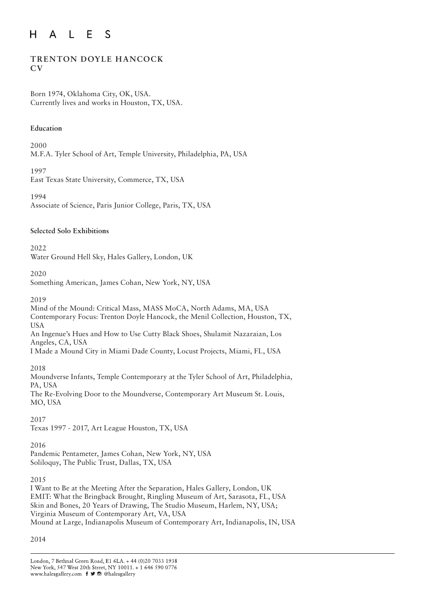#### $E$  $H$  $\mathsf{A}$  $\mathsf{L}$ <sub>S</sub>

# **TRENTON DOYLE HANCOCK CV**

Born 1974, Oklahoma City, OK, USA. Currently lives and works in Houston, TX, USA.

#### **Education**

2000

M.F.A. Tyler School of Art, Temple University, Philadelphia, PA, USA

1997

East Texas State University, Commerce, TX, USA

1994 Associate of Science, Paris Junior College, Paris, TX, USA

# **Selected Solo Exhibitions**

 $2022$ Water Ground Hell Sky, Hales Gallery, London, UK

2020

Something American, James Cohan, New York, NY, USA

2019

Mind of the Mound: Critical Mass, MASS MoCA, North Adams, MA, USA Contemporary Focus: Trenton Doyle Hancock, the Menil Collection, Houston, TX, USA An Ingenue's Hues and How to Use Cutty Black Shoes, Shulamit Nazaraian, Los

Angeles, CA, USA

I Made a Mound City in Miami Dade County, Locust Projects, Miami, FL, USA

2018

Moundverse Infants, Temple Contemporary at the Tyler School of Art, Philadelphia, PA, USA

The Re-Evolving Door to the Moundverse, Contemporary Art Museum St. Louis, MO, USA

2017

Texas 1997 - 2017, Art League Houston, TX, USA

# 2016

Pandemic Pentameter, James Cohan, New York, NY, USA Soliloquy, The Public Trust, Dallas, TX, USA

2015

I Want to Be at the Meeting After the Separation, Hales Gallery, London, UK EMIT: What the Bringback Brought, Ringling Museum of Art, Sarasota, FL, USA Skin and Bones, 20 Years of Drawing, The Studio Museum, Harlem, NY, USA; Virginia Museum of Contemporary Art, VA, USA Mound at Large, Indianapolis Museum of Contemporary Art, Indianapolis, IN, USA

2014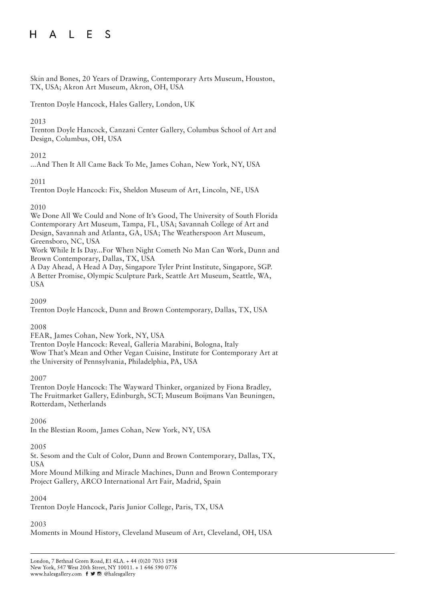#### A L E S  $H$

Skin and Bones, 20 Years of Drawing, Contemporary Arts Museum, Houston, TX, USA; Akron Art Museum, Akron, OH, USA

Trenton Doyle Hancock, Hales Gallery, London, UK

## 2013

Trenton Doyle Hancock, Canzani Center Gallery, Columbus School of Art and Design, Columbus, OH, USA

# 2012

...And Then It All Came Back To Me, James Cohan, New York, NY, USA

## 2011

Trenton Doyle Hancock: Fix, Sheldon Museum of Art, Lincoln, NE, USA

## 2010

We Done All We Could and None of It's Good, The University of South Florida Contemporary Art Museum, Tampa, FL, USA; Savannah College of Art and Design, Savannah and Atlanta, GA, USA; The Weatherspoon Art Museum, Greensboro, NC, USA

Work While It Is Day...For When Night Cometh No Man Can Work, Dunn and Brown Contemporary, Dallas, TX, USA

A Day Ahead, A Head A Day, Singapore Tyler Print Institute, Singapore, SGP. A Better Promise, Olympic Sculpture Park, Seattle Art Museum, Seattle, WA, USA

2009

Trenton Doyle Hancock, Dunn and Brown Contemporary, Dallas, TX, USA

# 2008

FEAR, James Cohan, New York, NY, USA Trenton Doyle Hancock: Reveal, Galleria Marabini, Bologna, Italy Wow That's Mean and Other Vegan Cuisine, Institute for Contemporary Art at the University of Pennsylvania, Philadelphia, PA, USA

#### 2007

Trenton Doyle Hancock: The Wayward Thinker, organized by Fiona Bradley, The Fruitmarket Gallery, Edinburgh, SCT; Museum Boijmans Van Beuningen, Rotterdam, Netherlands

2006

In the Blestian Room, James Cohan, New York, NY, USA

# 2005

St. Sesom and the Cult of Color, Dunn and Brown Contemporary, Dallas, TX, USA

More Mound Milking and Miracle Machines, Dunn and Brown Contemporary Project Gallery, ARCO International Art Fair, Madrid, Spain

#### 2004

Trenton Doyle Hancock, Paris Junior College, Paris, TX, USA

# 2003

Moments in Mound History, Cleveland Museum of Art, Cleveland, OH, USA

London, 7 Bethnal Green Road, E1 6LA. + 44 (0)20 7033 1938 New York, 547 West 20th Street, NY 10011. + 1 646 590 0776 www.halesgallery.com f J @ @halesgallery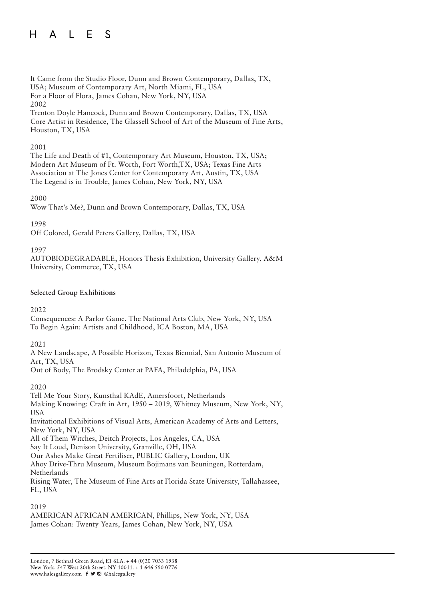#### ALES  $H$

It Came from the Studio Floor, Dunn and Brown Contemporary, Dallas, TX, USA; Museum of Contemporary Art, North Miami, FL, USA For a Floor of Flora, James Cohan, New York, NY, USA 2002 Trenton Doyle Hancock, Dunn and Brown Contemporary, Dallas, TX, USA

Core Artist in Residence, The Glassell School of Art of the Museum of Fine Arts, Houston, TX, USA

#### 2001

The Life and Death of #1, Contemporary Art Museum, Houston, TX, USA; Modern Art Museum of Ft. Worth, Fort Worth,TX, USA; Texas Fine Arts Association at The Jones Center for Contemporary Art, Austin, TX, USA The Legend is in Trouble, James Cohan, New York, NY, USA

#### 2000

Wow That's Me?, Dunn and Brown Contemporary, Dallas, TX, USA

#### 1998

Off Colored, Gerald Peters Gallery, Dallas, TX, USA

#### 1997

AUTOBIODEGRADABLE, Honors Thesis Exhibition, University Gallery, A&M University, Commerce, TX, USA

#### **Selected Group Exhibitions**

#### 2022

Consequences: A Parlor Game, The National Arts Club, New York, NY, USA To Begin Again: Artists and Childhood, ICA Boston, MA, USA

#### 2021

A New Landscape, A Possible Horizon, Texas Biennial, San Antonio Museum of Art, TX, USA

Out of Body, The Brodsky Center at PAFA, Philadelphia, PA, USA

#### 2020

Tell Me Your Story, Kunsthal KAdE, Amersfoort, Netherlands Making Knowing: Craft in Art, 1950 – 2019, Whitney Museum, New York, NY, USA Invitational Exhibitions of Visual Arts, American Academy of Arts and Letters, New York, NY, USA All of Them Witches, Deitch Projects, Los Angeles, CA, USA Say It Loud, Denison University, Granville, OH, USA Our Ashes Make Great Fertiliser, PUBLIC Gallery, London, UK Ahoy Drive-Thru Museum, Museum Bojimans van Beuningen, Rotterdam, Netherlands

Rising Water, The Museum of Fine Arts at Florida State University, Tallahassee, FL, USA

#### 2019

AMERICAN AFRICAN AMERICAN, Phillips, New York, NY, USA James Cohan: Twenty Years, James Cohan, New York, NY, USA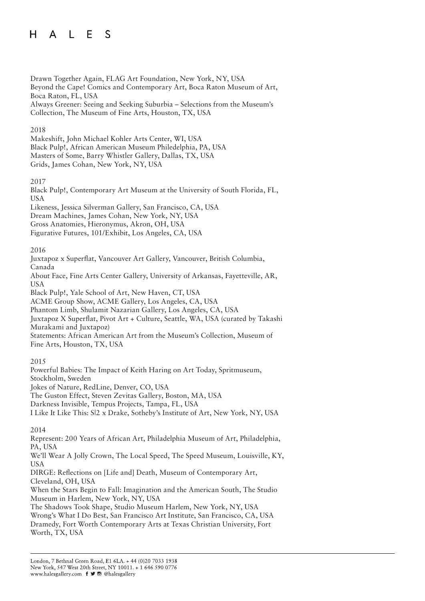#### $H$ A L E - S

Drawn Together Again, FLAG Art Foundation, New York, NY, USA Beyond the Cape! Comics and Contemporary Art, Boca Raton Museum of Art, Boca Raton, FL, USA Always Greener: Seeing and Seeking Suburbia – Selections from the Museum's Collection, The Museum of Fine Arts, Houston, TX, USA

# 2018

Makeshift, John Michael Kohler Arts Center, WI, USA Black Pulp!, African American Museum Philedelphia, PA, USA Masters of Some, Barry Whistler Gallery, Dallas, TX, USA Grids, James Cohan, New York, NY, USA

## 2017

Black Pulp!, Contemporary Art Museum at the University of South Florida, FL, USA Likeness, Jessica Silverman Gallery, San Francisco, CA, USA Dream Machines, James Cohan, New York, NY, USA Gross Anatomies, Hieronymus, Akron, OH, USA Figurative Futures, 101/Exhibit, Los Angeles, CA, USA

# 2016

Juxtapoz x Superflat, Vancouver Art Gallery, Vancouver, British Columbia, Canada About Face, Fine Arts Center Gallery, University of Arkansas, Fayetteville, AR, USA

Black Pulp!, Yale School of Art, New Haven, CT, USA

ACME Group Show, ACME Gallery, Los Angeles, CA, USA

Phantom Limb, Shulamit Nazarian Gallery, Los Angeles, CA, USA

Juxtapoz X Superflat, Pivot Art + Culture, Seattle, WA, USA (curated by Takashi Murakami and Juxtapoz)

Statements: African American Art from the Museum's Collection, Museum of Fine Arts, Houston, TX, USA

# 2015

Powerful Babies: The Impact of Keith Haring on Art Today, Spritmuseum, Stockholm, Sweden Jokes of Nature, RedLine, Denver, CO, USA The Guston Effect, Steven Zevitas Gallery, Boston, MA, USA Darkness Invisible, Tempus Projects, Tampa, FL, USA I Like It Like This: S|2 x Drake, Sotheby's Institute of Art, New York, NY, USA

# 2014

Represent: 200 Years of African Art, Philadelphia Museum of Art, Philadelphia, PA, USA

We'll Wear A Jolly Crown, The Local Speed, The Speed Museum, Louisville, KY, USA

DIRGE: Reflections on [Life and] Death, Museum of Contemporary Art, Cleveland, OH, USA

When the Stars Begin to Fall: Imagination and the American South, The Studio Museum in Harlem, New York, NY, USA

The Shadows Took Shape, Studio Museum Harlem, New York, NY, USA Wrong's What I Do Best, San Francisco Art Institute, San Francisco, CA, USA Dramedy, Fort Worth Contemporary Arts at Texas Christian University, Fort Worth, TX, USA

London, 7 Bethnal Green Road, E1 6LA. + 44 (0)20 7033 1938 New York, 547 West 20th Street, NY 10011. + 1 646 590 0776 www.halesgallery.com f ♥ @ @halesgallery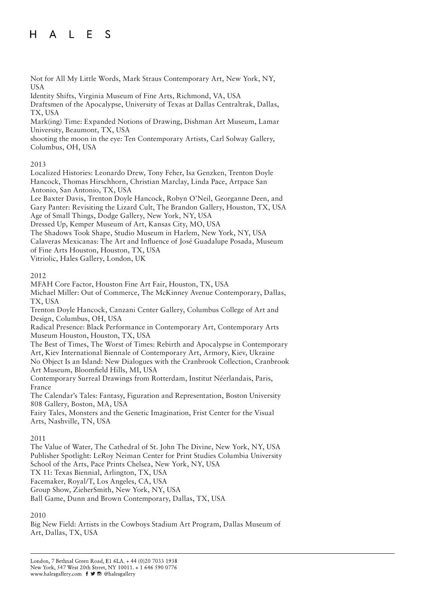#### $H$ L E  $\mathcal{S}$  $\mathsf{A}$

Not for All My Little Words, Mark Straus Contemporary Art, New York, NY, USA

Identity Shifts, Virginia Museum of Fine Arts, Richmond, VA, USA

Draftsmen of the Apocalypse, University of Texas at Dallas Centraltrak, Dallas, TX, USA

Mark(ing) Time: Expanded Notions of Drawing, Dishman Art Museum, Lamar University, Beaumont, TX, USA

shooting the moon in the eye: Ten Contemporary Artists, Carl Solway Gallery, Columbus, OH, USA

#### 2013

Localized Histories: Leonardo Drew, Tony Feher, Isa Genzken, Trenton Doyle Hancock, Thomas Hirschhorn, Christian Marclay, Linda Pace, Artpace San Antonio, San Antonio, TX, USA

Lee Baxter Davis, Trenton Doyle Hancock, Robyn O'Neil, Georganne Deen, and Gary Panter: Revisiting the Lizard Cult, The Brandon Gallery, Houston, TX, USA Age of Small Things, Dodge Gallery, New York, NY, USA

Dressed Up, Kemper Museum of Art, Kansas City, MO, USA

The Shadows Took Shape, Studio Museum in Harlem, New York, NY, USA

Calaveras Mexicanas: The Art and Influence of José Guadalupe Posada, Museum of Fine Arts Houston, Houston, TX, USA

Vitriolic, Hales Gallery, London, UK

## 2012

MFAH Core Factor, Houston Fine Art Fair, Houston, TX, USA

Michael Miller: Out of Commerce, The McKinney Avenue Contemporary, Dallas, TX, USA

Trenton Doyle Hancock, Canzani Center Gallery, Columbus College of Art and Design, Columbus, OH, USA

Radical Presence: Black Performance in Contemporary Art, Contemporary Arts Museum Houston, Houston, TX, USA

The Best of Times, The Worst of Times: Rebirth and Apocalypse in Contemporary Art, Kiev International Biennale of Contemporary Art, Armory, Kiev, Ukraine No Object Is an Island: New Dialogues with the Cranbrook Collection, Cranbrook

Art Museum, Bloomfield Hills, MI, USA Contemporary Surreal Drawings from Rotterdam, Institut Néerlandais, Paris,

France The Calendar's Tales: Fantasy, Figuration and Representation, Boston University 808 Gallery, Boston, MA, USA

Fairy Tales, Monsters and the Genetic Imagination, Frist Center for the Visual Arts, Nashville, TN, USA

# 2011

The Value of Water, The Cathedral of St. John The Divine, New York, NY, USA Publisher Spotlight: LeRoy Neiman Center for Print Studies Columbia University School of the Arts, Pace Prints Chelsea, New York, NY, USA TX 11: Texas Biennial, Arlington, TX, USA Facemaker, Royal/T, Los Angeles, CA, USA Group Show, ZieherSmith, New York, NY, USA Ball Game, Dunn and Brown Contemporary, Dallas, TX, USA

# 2010

Big New Field: Artists in the Cowboys Stadium Art Program, Dallas Museum of Art, Dallas, TX, USA

London, 7 Bethnal Green Road, E1 6LA. + 44 (0)20 7033 1938 New York, 547 West 20th Street, NY 10011. + 1 646 590 0776 www.halesgallery.com f ♥ @ @halesgallery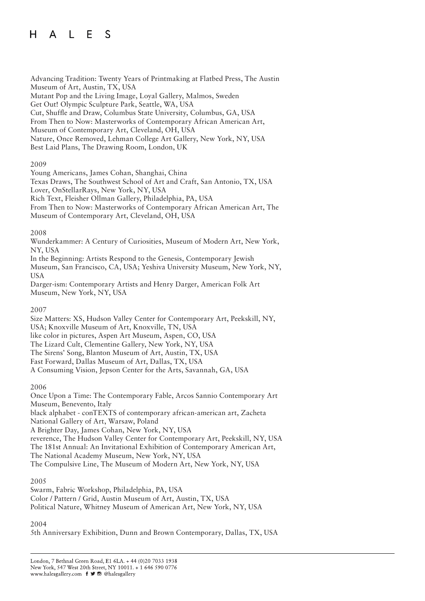#### A L E S  $H$

Advancing Tradition: Twenty Years of Printmaking at Flatbed Press, The Austin Museum of Art, Austin, TX, USA Mutant Pop and the Living Image, Loyal Gallery, Malmos, Sweden Get Out! Olympic Sculpture Park, Seattle, WA, USA Cut, Shuffle and Draw, Columbus State University, Columbus, GA, USA From Then to Now: Masterworks of Contemporary African American Art, Museum of Contemporary Art, Cleveland, OH, USA Nature, Once Removed, Lehman College Art Gallery, New York, NY, USA Best Laid Plans, The Drawing Room, London, UK

## 2009

Young Americans, James Cohan, Shanghai, China Texas Draws, The Southwest School of Art and Craft, San Antonio, TX, USA Lover, OnStellarRays, New York, NY, USA Rich Text, Fleisher Ollman Gallery, Philadelphia, PA, USA From Then to Now: Masterworks of Contemporary African American Art, The Museum of Contemporary Art, Cleveland, OH, USA

## 2008

Wunderkammer: A Century of Curiosities, Museum of Modern Art, New York, NY, USA In the Beginning: Artists Respond to the Genesis, Contemporary Jewish

Museum, San Francisco, CA, USA; Yeshiva University Museum, New York, NY, USA

Darger-ism: Contemporary Artists and Henry Darger, American Folk Art Museum, New York, NY, USA

#### 2007

Size Matters: XS, Hudson Valley Center for Contemporary Art, Peekskill, NY, USA; Knoxville Museum of Art, Knoxville, TN, USA like color in pictures, Aspen Art Museum, Aspen, CO, USA The Lizard Cult, Clementine Gallery, New York, NY, USA The Sirens' Song, Blanton Museum of Art, Austin, TX, USA Fast Forward, Dallas Museum of Art, Dallas, TX, USA A Consuming Vision, Jepson Center for the Arts, Savannah, GA, USA

#### 2006

Once Upon a Time: The Contemporary Fable, Arcos Sannio Contemporary Art Museum, Benevento, Italy black alphabet - conTEXTS of contemporary african-american art, Zacheta National Gallery of Art, Warsaw, Poland A Brighter Day, James Cohan, New York, NY, USA reverence, The Hudson Valley Center for Contemporary Art, Peekskill, NY, USA The 181st Annual: An Invitational Exhibition of Contemporary American Art, The National Academy Museum, New York, NY, USA The Compulsive Line, The Museum of Modern Art, New York, NY, USA

#### 2005

Swarm, Fabric Workshop, Philadelphia, PA, USA Color / Pattern / Grid, Austin Museum of Art, Austin, TX, USA Political Nature, Whitney Museum of American Art, New York, NY, USA

# 2004

5th Anniversary Exhibition, Dunn and Brown Contemporary, Dallas, TX, USA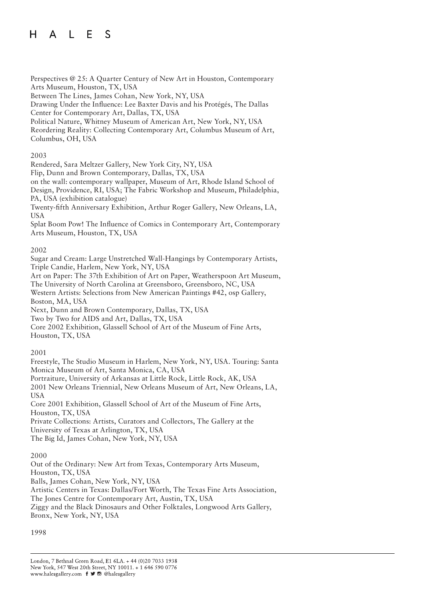#### A L E S  $H$

Perspectives @ 25: A Quarter Century of New Art in Houston, Contemporary Arts Museum, Houston, TX, USA

Between The Lines, James Cohan, New York, NY, USA

Drawing Under the Influence: Lee Baxter Davis and his Protégés, The Dallas Center for Contemporary Art, Dallas, TX, USA

Political Nature, Whitney Museum of American Art, New York, NY, USA

Reordering Reality: Collecting Contemporary Art, Columbus Museum of Art, Columbus, OH, USA

## 2003

Rendered, Sara Meltzer Gallery, New York City, NY, USA

Flip, Dunn and Brown Contemporary, Dallas, TX, USA

on the wall: contemporary wallpaper, Museum of Art, Rhode Island School of Design, Providence, RI, USA; The Fabric Workshop and Museum, Philadelphia, PA, USA (exhibition catalogue)

Twenty-fifth Anniversary Exhibition, Arthur Roger Gallery, New Orleans, LA, USA

Splat Boom Pow! The Influence of Comics in Contemporary Art, Contemporary Arts Museum, Houston, TX, USA

## 2002

Sugar and Cream: Large Unstretched Wall-Hangings by Contemporary Artists, Triple Candie, Harlem, New York, NY, USA

Art on Paper: The 37th Exhibition of Art on Paper, Weatherspoon Art Museum, The University of North Carolina at Greensboro, Greensboro, NC, USA

Western Artists: Selections from New American Paintings #42, osp Gallery, Boston, MA, USA

Next, Dunn and Brown Contemporary, Dallas, TX, USA

Two by Two for AIDS and Art, Dallas, TX, USA

Core 2002 Exhibition, Glassell School of Art of the Museum of Fine Arts, Houston, TX, USA

# 2001

Freestyle, The Studio Museum in Harlem, New York, NY, USA. Touring: Santa Monica Museum of Art, Santa Monica, CA, USA Portraiture, University of Arkansas at Little Rock, Little Rock, AK, USA 2001 New Orleans Triennial, New Orleans Museum of Art, New Orleans, LA, **USA** Core 2001 Exhibition, Glassell School of Art of the Museum of Fine Arts,

Houston, TX, USA

Private Collections: Artists, Curators and Collectors, The Gallery at the University of Texas at Arlington, TX, USA

The Big Id, James Cohan, New York, NY, USA

# 2000

Out of the Ordinary: New Art from Texas, Contemporary Arts Museum, Houston, TX, USA Balls, James Cohan, New York, NY, USA Artistic Centers in Texas: Dallas/Fort Worth, The Texas Fine Arts Association, The Jones Centre for Contemporary Art, Austin, TX, USA Ziggy and the Black Dinosaurs and Other Folktales, Longwood Arts Gallery, Bronx, New York, NY, USA

#### 1998

London, 7 Bethnal Green Road, E1 6LA. + 44 (0)20 7033 1938 New York, 547 West 20th Street, NY 10011. + 1 646 590 0776 www.halesgallery.com f J @ @halesgallery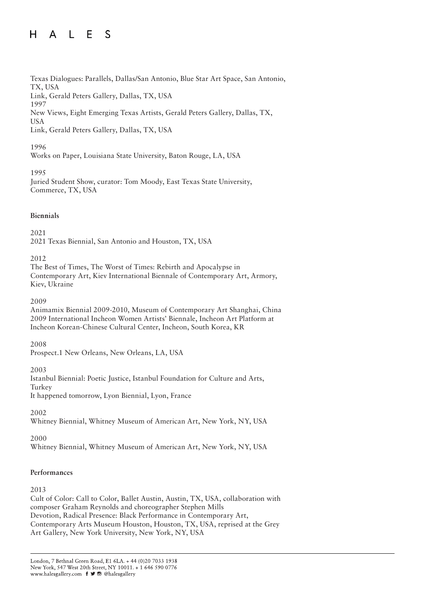#### $H$ A L E S

Texas Dialogues: Parallels, Dallas/San Antonio, Blue Star Art Space, San Antonio, TX, USA Link, Gerald Peters Gallery, Dallas, TX, USA 1997 New Views, Eight Emerging Texas Artists, Gerald Peters Gallery, Dallas, TX, USA

Link, Gerald Peters Gallery, Dallas, TX, USA

# 1996

Works on Paper, Louisiana State University, Baton Rouge, LA, USA

## 1995

Juried Student Show, curator: Tom Moody, East Texas State University, Commerce, TX, USA

## **Biennials**

2021

2021 Texas Biennial, San Antonio and Houston, TX, USA

2012

The Best of Times, The Worst of Times: Rebirth and Apocalypse in Contemporary Art, Kiev International Biennale of Contemporary Art, Armory, Kiev, Ukraine

2009

Animamix Biennial 2009-2010, Museum of Contemporary Art Shanghai, China 2009 International Incheon Women Artists' Biennale, Incheon Art Platform at Incheon Korean-Chinese Cultural Center, Incheon, South Korea, KR

2008

Prospect.1 New Orleans, New Orleans, LA, USA

#### 2003

Istanbul Biennial: Poetic Justice, Istanbul Foundation for Culture and Arts, Turkey It happened tomorrow, Lyon Biennial, Lyon, France

2002

Whitney Biennial, Whitney Museum of American Art, New York, NY, USA

# 2000

Whitney Biennial, Whitney Museum of American Art, New York, NY, USA

# **Performances**

2013

Cult of Color: Call to Color, Ballet Austin, Austin, TX, USA, collaboration with composer Graham Reynolds and choreographer Stephen Mills Devotion, Radical Presence: Black Performance in Contemporary Art, Contemporary Arts Museum Houston, Houston, TX, USA, reprised at the Grey Art Gallery, New York University, New York, NY, USA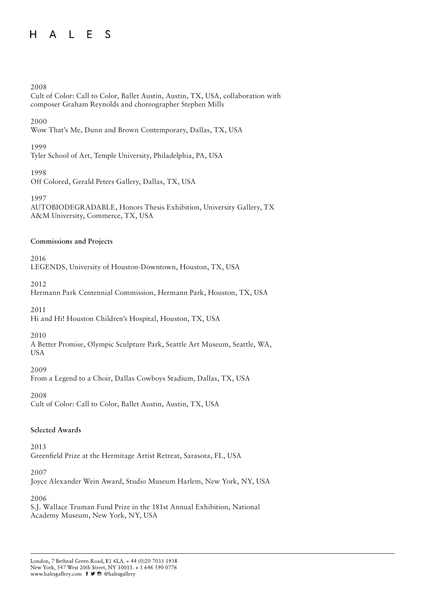#### $H$ A L E S

#### 2008

Cult of Color: Call to Color, Ballet Austin, Austin, TX, USA, collaboration with composer Graham Reynolds and choreographer Stephen Mills

#### 2000

Wow That's Me, Dunn and Brown Contemporary, Dallas, TX, USA

#### 1999

Tyler School of Art, Temple University, Philadelphia, PA, USA

#### 1998

Off Colored, Gerald Peters Gallery, Dallas, TX, USA

#### 1997

AUTOBIODEGRADABLE, Honors Thesis Exhibition, University Gallery, TX A&M University, Commerce, TX, USA

#### **Commissions and Projects**

2016

LEGENDS, University of Houston-Downtown, Houston, TX, USA

2012

Hermann Park Centennial Commission, Hermann Park, Houston, TX, USA

2011

Hi and Hi! Houston Children's Hospital, Houston, TX, USA

#### 2010

A Better Promise, Olympic Sculpture Park, Seattle Art Museum, Seattle, WA, USA

#### 2009

From a Legend to a Choir, Dallas Cowboys Stadium, Dallas, TX, USA

#### 2008

Cult of Color: Call to Color, Ballet Austin, Austin, TX, USA

#### **Selected Awards**

2013

Greenfield Prize at the Hermitage Artist Retreat, Sarasota, FL, USA

#### 2007

Joyce Alexander Wein Award, Studio Museum Harlem, New York, NY, USA

#### 2006

S.J. Wallace Truman Fund Prize in the 181st Annual Exhibition, National Academy Museum, New York, NY, USA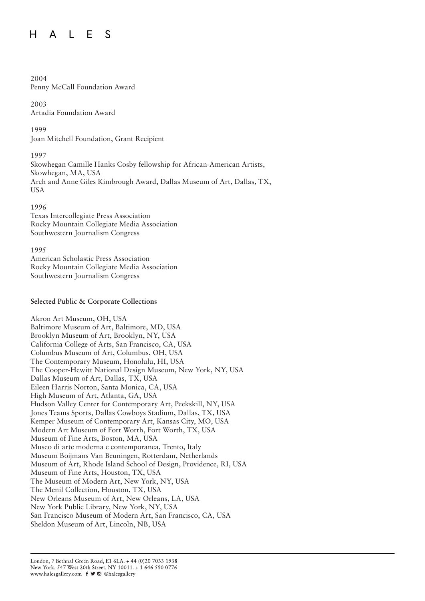#### $H$ A L E <sub>S</sub>

# 2004

Penny McCall Foundation Award

2003 Artadia Foundation Award

1999

Joan Mitchell Foundation, Grant Recipient

1997

Skowhegan Camille Hanks Cosby fellowship for African-American Artists, Skowhegan, MA, USA Arch and Anne Giles Kimbrough Award, Dallas Museum of Art, Dallas, TX, USA

1996

Texas Intercollegiate Press Association Rocky Mountain Collegiate Media Association Southwestern Journalism Congress

1995

American Scholastic Press Association Rocky Mountain Collegiate Media Association Southwestern Journalism Congress

# **Selected Public & Corporate Collections**

Akron Art Museum, OH, USA Baltimore Museum of Art, Baltimore, MD, USA Brooklyn Museum of Art, Brooklyn, NY, USA California College of Arts, San Francisco, CA, USA Columbus Museum of Art, Columbus, OH, USA The Contemporary Museum, Honolulu, HI, USA The Cooper-Hewitt National Design Museum, New York, NY, USA Dallas Museum of Art, Dallas, TX, USA Eileen Harris Norton, Santa Monica, CA, USA High Museum of Art, Atlanta, GA, USA Hudson Valley Center for Contemporary Art, Peekskill, NY, USA Jones Teams Sports, Dallas Cowboys Stadium, Dallas, TX, USA Kemper Museum of Contemporary Art, Kansas City, MO, USA Modern Art Museum of Fort Worth, Fort Worth, TX, USA Museum of Fine Arts, Boston, MA, USA Museo di arte moderna e contemporanea, Trento, Italy Museum Boijmans Van Beuningen, Rotterdam, Netherlands Museum of Art, Rhode Island School of Design, Providence, RI, USA Museum of Fine Arts, Houston, TX, USA The Museum of Modern Art, New York, NY, USA The Menil Collection, Houston, TX, USA New Orleans Museum of Art, New Orleans, LA, USA New York Public Library, New York, NY, USA San Francisco Museum of Modern Art, San Francisco, CA, USA Sheldon Museum of Art, Lincoln, NB, USA